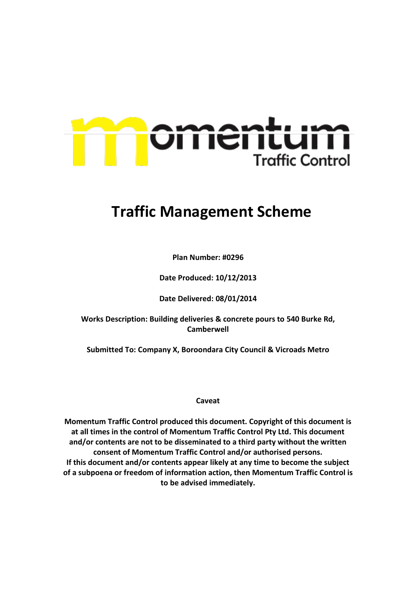

# **Traffic Management Scheme**

**Plan Number: #0296**

**Date Produced: 10/12/2013**

**Date Delivered: 08/01/2014**

**Works Description: Building deliveries & concrete pours to 540 Burke Rd, Camberwell**

**Submitted To: Company X, Boroondara City Council & Vicroads Metro**

**Caveat**

**Momentum Traffic Control produced this document. Copyright of this document is at all times in the control of Momentum Traffic Control Pty Ltd. This document and/or contents are not to be disseminated to a third party without the written consent of Momentum Traffic Control and/or authorised persons. If this document and/or contents appear likely at any time to become the subject of a subpoena or freedom of information action, then Momentum Traffic Control is to be advised immediately.**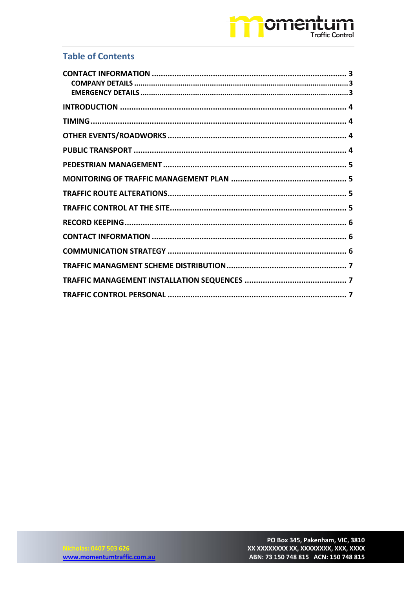## omentum **Traffic Control**

## **Table of Contents**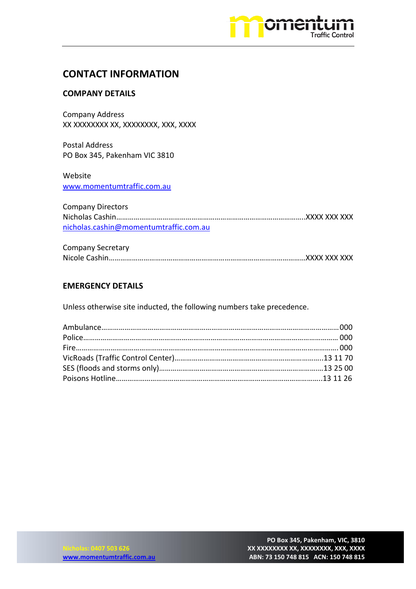

### <span id="page-2-0"></span>**CONTACT INFORMATION**

#### <span id="page-2-1"></span>**COMPANY DETAILS**

Company Address XX XXXXXXXX XX, XXXXXXXX, XXX, XXXX

Postal Address PO Box 345, Pakenham VIC 3810

Website [www.momentumtraffic.com.au](http://www.momentumtraffic.com.au/)

Company Directors Nicholas Cashin……………………………………………………………………………………..XXXX XXX XXX [nicholas.cashin@momentumtraffic.com.au](mailto:nicholas.cashin@momentumtraffic.com.au)

| <b>Company Secretary</b> |  |
|--------------------------|--|
|                          |  |

#### <span id="page-2-2"></span>**EMERGENCY DETAILS**

Unless otherwise site inducted, the following numbers take precedence.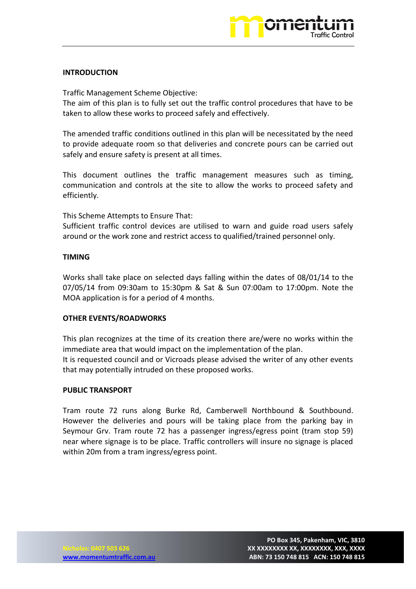

#### <span id="page-3-0"></span>**INTRODUCTION**

Traffic Management Scheme Objective:

The aim of this plan is to fully set out the traffic control procedures that have to be taken to allow these works to proceed safely and effectively.

The amended traffic conditions outlined in this plan will be necessitated by the need to provide adequate room so that deliveries and concrete pours can be carried out safely and ensure safety is present at all times.

This document outlines the traffic management measures such as timing, communication and controls at the site to allow the works to proceed safety and efficiently.

This Scheme Attempts to Ensure That:

Sufficient traffic control devices are utilised to warn and guide road users safely around or the work zone and restrict access to qualified/trained personnel only.

#### <span id="page-3-1"></span>**TIMING**

Works shall take place on selected days falling within the dates of 08/01/14 to the 07/05/14 from 09:30am to 15:30pm & Sat & Sun 07:00am to 17:00pm. Note the MOA application is for a period of 4 months.

#### <span id="page-3-2"></span>**OTHER EVENTS/ROADWORKS**

This plan recognizes at the time of its creation there are/were no works within the immediate area that would impact on the implementation of the plan. It is requested council and or Vicroads please advised the writer of any other events that may potentially intruded on these proposed works.

#### <span id="page-3-3"></span>**PUBLIC TRANSPORT**

<span id="page-3-4"></span>Tram route 72 runs along Burke Rd, Camberwell Northbound & Southbound. However the deliveries and pours will be taking place from the parking bay in Seymour Grv. Tram route 72 has a passenger ingress/egress point (tram stop 59) near where signage is to be place. Traffic controllers will insure no signage is placed within 20m from a tram ingress/egress point.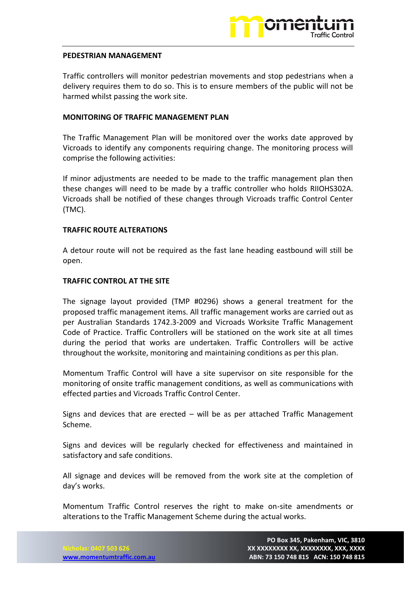

#### **PEDESTRIAN MANAGEMENT**

Traffic controllers will monitor pedestrian movements and stop pedestrians when a delivery requires them to do so. This is to ensure members of the public will not be harmed whilst passing the work site.

#### <span id="page-4-0"></span>**MONITORING OF TRAFFIC MANAGEMENT PLAN**

The Traffic Management Plan will be monitored over the works date approved by Vicroads to identify any components requiring change. The monitoring process will comprise the following activities:

If minor adjustments are needed to be made to the traffic management plan then these changes will need to be made by a traffic controller who holds RIIOHS302A. Vicroads shall be notified of these changes through Vicroads traffic Control Center (TMC).

#### <span id="page-4-1"></span>**TRAFFIC ROUTE ALTERATIONS**

A detour route will not be required as the fast lane heading eastbound will still be open.

#### <span id="page-4-2"></span>**TRAFFIC CONTROL AT THE SITE**

The signage layout provided (TMP #0296) shows a general treatment for the proposed traffic management items. All traffic management works are carried out as per Australian Standards 1742.3-2009 and Vicroads Worksite Traffic Management Code of Practice. Traffic Controllers will be stationed on the work site at all times during the period that works are undertaken. Traffic Controllers will be active throughout the worksite, monitoring and maintaining conditions as per this plan.

Momentum Traffic Control will have a site supervisor on site responsible for the monitoring of onsite traffic management conditions, as well as communications with effected parties and Vicroads Traffic Control Center.

Signs and devices that are erected – will be as per attached Traffic Management Scheme.

Signs and devices will be regularly checked for effectiveness and maintained in satisfactory and safe conditions.

All signage and devices will be removed from the work site at the completion of day's works.

Momentum Traffic Control reserves the right to make on-site amendments or alterations to the Traffic Management Scheme during the actual works.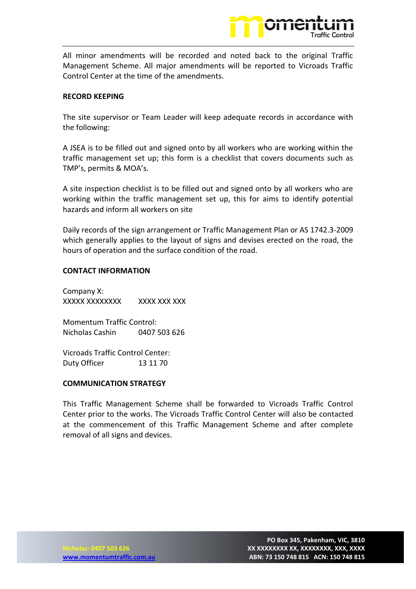

All minor amendments will be recorded and noted back to the original Traffic Management Scheme. All major amendments will be reported to Vicroads Traffic Control Center at the time of the amendments.

#### <span id="page-5-0"></span>**RECORD KEEPING**

The site supervisor or Team Leader will keep adequate records in accordance with the following:

A JSEA is to be filled out and signed onto by all workers who are working within the traffic management set up; this form is a checklist that covers documents such as TMP's, permits & MOA's.

A site inspection checklist is to be filled out and signed onto by all workers who are working within the traffic management set up, this for aims to identify potential hazards and inform all workers on site

Daily records of the sign arrangement or Traffic Management Plan or AS 1742.3-2009 which generally applies to the layout of signs and devises erected on the road, the hours of operation and the surface condition of the road.

#### <span id="page-5-1"></span>**CONTACT INFORMATION**

Company X: XXXXX XXXXXXXX XXXX XXX XXX

Momentum Traffic Control: Nicholas Cashin 0407 503 626

Vicroads Traffic Control Center: Duty Officer 13 11 70

#### <span id="page-5-2"></span>**COMMUNICATION STRATEGY**

This Traffic Management Scheme shall be forwarded to Vicroads Traffic Control Center prior to the works. The Vicroads Traffic Control Center will also be contacted at the commencement of this Traffic Management Scheme and after complete removal of all signs and devices.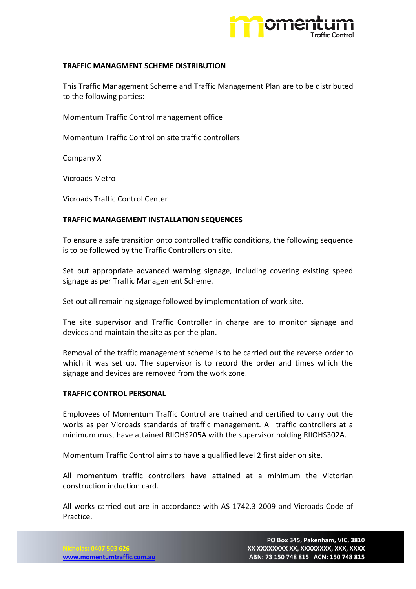

#### <span id="page-6-0"></span>**TRAFFIC MANAGMENT SCHEME DISTRIBUTION**

This Traffic Management Scheme and Traffic Management Plan are to be distributed to the following parties:

Momentum Traffic Control management office

Momentum Traffic Control on site traffic controllers

Company X

Vicroads Metro

Vicroads Traffic Control Center

#### <span id="page-6-1"></span>**TRAFFIC MANAGEMENT INSTALLATION SEQUENCES**

To ensure a safe transition onto controlled traffic conditions, the following sequence is to be followed by the Traffic Controllers on site.

Set out appropriate advanced warning signage, including covering existing speed signage as per Traffic Management Scheme.

Set out all remaining signage followed by implementation of work site.

The site supervisor and Traffic Controller in charge are to monitor signage and devices and maintain the site as per the plan.

Removal of the traffic management scheme is to be carried out the reverse order to which it was set up. The supervisor is to record the order and times which the signage and devices are removed from the work zone.

#### <span id="page-6-2"></span>**TRAFFIC CONTROL PERSONAL**

Employees of Momentum Traffic Control are trained and certified to carry out the works as per Vicroads standards of traffic management. All traffic controllers at a minimum must have attained RIIOHS205A with the supervisor holding RIIOHS302A.

Momentum Traffic Control aims to have a qualified level 2 first aider on site.

All momentum traffic controllers have attained at a minimum the Victorian construction induction card.

All works carried out are in accordance with AS 1742.3-2009 and Vicroads Code of Practice.